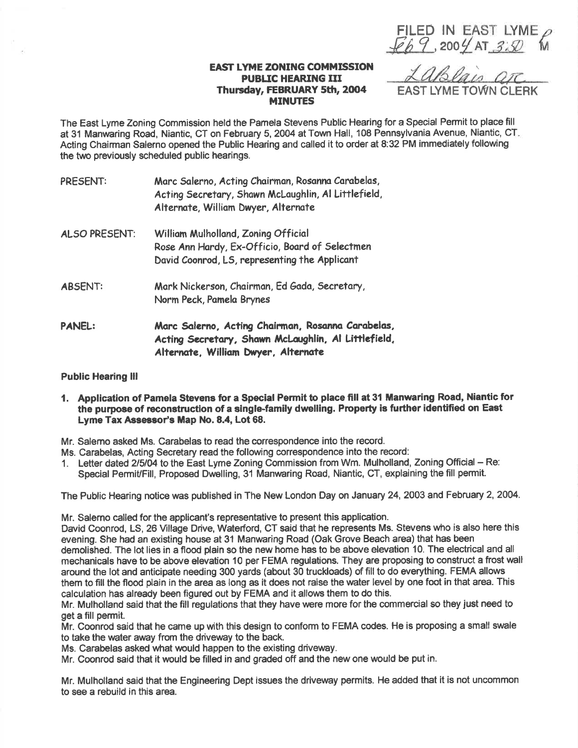$Eb9,200$ FILED IN EAST LYME  $\rho$  $4\pi$  3:50 M

## EAST LYME ZONING COMMISSION PUBLIC HEARING III Thursday, FEBRUARY 5th, 2004 **MINUTES**

EAST LYME TOWN CLERK

The East Lyme Zoning Commission held the Pamela Stevens Public Hearing for a Special Permit to place fill at 31 Manwaring Road, Niantic, CT on February 5,2004 at Town Hall, 108 Pennsylvania Avenue, Niantic, CT Acting Ghairman Salerno opened the Public Hearing and called it to order at 8:32 PM immediately following the two previously scheduled public hearings.

| PRESENT:       | Marc Salerno, Acting Chairman, Rosanna Carabelas,<br>Acting Secretary, Shawn McLaughlin, Al Littlefield,<br>Alternate, William Dwyer, Alternate |
|----------------|-------------------------------------------------------------------------------------------------------------------------------------------------|
| ALSO PRESENT:  | William Mulholland, Zoning Official<br>Rose Ann Hardy, Ex-Officio, Board of Selectmen<br>David Coonrod, LS, representing the Applicant          |
| <b>ABSENT:</b> | Mark Nickerson, Chairman, Ed Gada, Secretary,<br>Norm Peck, Pamela Brynes                                                                       |
| <b>PANEL:</b>  | Marc Salerno, Acting Chairman, Rosanna Carabelas,<br>Acting Secretary, Shawn McLaughlin, Al Littlefield,<br>Alternate, William Dwyer, Alternate |

## Public Hearing lll

1. Application of Pamela Stevens for a Special Permit to place fill at 31 Manwaring Road, Niantic for the purpose of reconstruction of a single-family dwelling. Property is further identified on East Lyme Tax Assessor's Map No. 8.4, Lot 68.

Mr. Salemo asked Ms. Carabelas to read the correspondence into the record.

- Ms. Carabelas, Acting Secretary read the following correspondence into the record:
- 1. Letter dated 215104 to the East Lyme Zoning Gommission from Wm. Mulholland, Zoning Official Re: Special PermiVFill, Proposed Dwelling, 31 Manwaring Road, Niantic, CT, explaining the fill permit.

The Public Hearing notice was published in The New London Day on January 24,2OO3 and February 2,2004.

Mr. Salerno called for the applicant's representative to present this application.

David Coonrod, LS, 26 Mllage Drive, Waterford, CT said that he represents Ms. Stevens who is also here this evening. She had an existing house at 31 Manwaring Road (Oak Grove Beach area) that has been demolished. The lot lies in a flood plain so the new home has to be above elevation 10. The electrical and all mechanicals have to be above elevation 10 per FEMA regulations. They are proposing to construct a frost wall around the lot and anticipate needing 300 yards (about 30 truckloads) of fill to do everything. FEMA allows them to fill the flood plain in the area as long as it does not raise the water level by one foot in that area. This calculation has already been figured out by FEMA and it allows them to do this.

Mr. Mulholland said that the fill regulations that they have were more for the commercial so they just need to get a fill permit.

Mr. Coonrod said that he came up with this design to conform to FEMA codes. He is proposing a small swale to take the water away from the driveway to the back.

Ms. Carabelas asked what would happen to the existing driveway.

Mr. Coonrod said that it would be filled in and graded off and the new one would be put in.

Mr. Mulholland said that the Engineering Dept issues the driveway permits. He added that it is not uncommon to see a rebuild in this area.